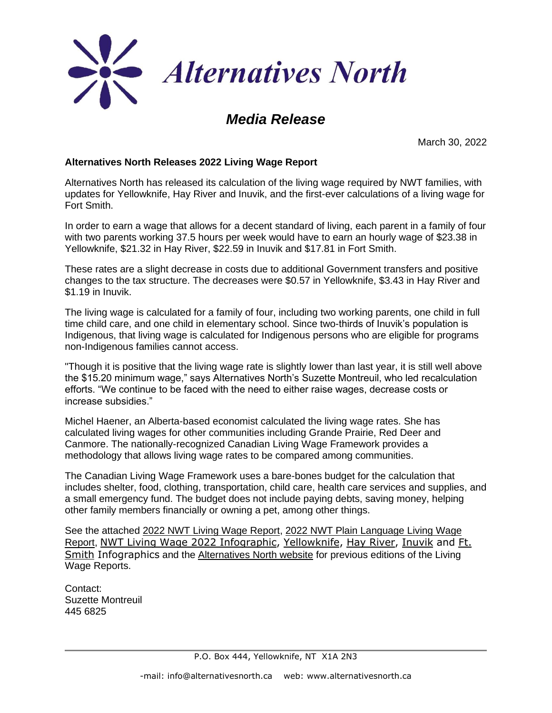

#### *Media Release*

March 30, 2022

#### **Alternatives North Releases 2022 Living Wage Report**

Alternatives North has released its calculation of the living wage required by NWT families, with updates for Yellowknife, Hay River and Inuvik, and the first-ever calculations of a living wage for Fort Smith.

In order to earn a wage that allows for a decent standard of living, each parent in a family of four with two parents working 37.5 hours per week would have to earn an hourly wage of \$23.38 in Yellowknife, \$21.32 in Hay River, \$22.59 in Inuvik and \$17.81 in Fort Smith.

These rates are a slight decrease in costs due to additional Government transfers and positive changes to the tax structure. The decreases were \$0.57 in Yellowknife, \$3.43 in Hay River and \$1.19 in Inuvik.

The living wage is calculated for a family of four, including two working parents, one child in full time child care, and one child in elementary school. Since two-thirds of Inuvik's population is Indigenous, that living wage is calculated for Indigenous persons who are eligible for programs non-Indigenous families cannot access.

"Though it is positive that the living wage rate is slightly lower than last year, it is still well above the \$15.20 minimum wage," says Alternatives North's Suzette Montreuil, who led recalculation efforts. "We continue to be faced with the need to either raise wages, decrease costs or increase subsidies."

Michel Haener, an Alberta-based economist calculated the living wage rates. She has calculated living wages for other communities including Grande Prairie, Red Deer and Canmore. The nationally-recognized Canadian Living Wage Framework provides a methodology that allows living wage rates to be compared among communities.

The Canadian Living Wage Framework uses a bare-bones budget for the calculation that includes shelter, food, clothing, transportation, child care, health care services and supplies, and a small emergency fund. The budget does not include paying debts, saving money, helping other family members financially or owning a pet, among other things.

See the attached [2022 NWT Living Wage Report,](https://anotheralt.files.wordpress.com/2022/03/nwt-2022-living-wage-report-1.pdf) [2022 NWT Plain Language Living Wage](https://anotheralt.files.wordpress.com/2022/03/nwt-living-wage-2022-plain-language-report.pdf)  [Report,](https://anotheralt.files.wordpress.com/2022/03/nwt-living-wage-2022-plain-language-report.pdf) NWT Living Wage 2022 [Infographic,](https://anotheralt.files.wordpress.com/2022/03/nwt-living-wage-2022-nwt-living-wage-infographic.pdf) [Yellowknife,](https://anotheralt.files.wordpress.com/2022/03/nwt-living-wage-2022-yellowknife-infographic-1.pdf) Hay [River,](https://anotheralt.files.wordpress.com/2022/03/nwt-living-wage-2022-hay-river-infographic.pdf) [Inuvik](https://anotheralt.files.wordpress.com/2022/03/nwt-living-wage-2022-inuvik-infographic-1.pdf) and [Ft.](https://anotheralt.files.wordpress.com/2022/03/nwt-living-wage-2022-ft-smith-infographic.pdf) [Smith](https://anotheralt.files.wordpress.com/2022/03/nwt-living-wage-2022-ft-smith-infographic.pdf) Infographics and the [Alternatives North website](https://alternativesnorth.ca/poverty-2/) for previous editions of the Living Wage Reports.

Contact: Suzette Montreuil 445 6825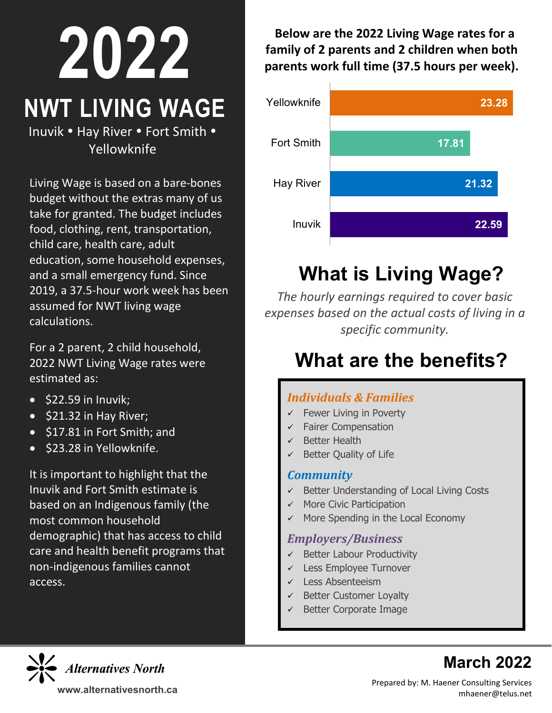# **2022 NWT LIVING WAGE**

Inuvik • Hay River • Fort Smith • Yellowknife

Living Wage is based on a bare-bones budget without the extras many of us take for granted. The budget includes food, clothing, rent, transportation, child care, health care, adult education, some household expenses, and a small emergency fund. Since 2019, a 37.5-hour work week has been assumed for NWT living wage calculations.

For a 2 parent, 2 child household, 2022 NWT Living Wage rates were estimated as:

- $\bullet$  \$22.59 in Inuvik;
- \$21.32 in Hay River;
- \$17.81 in Fort Smith; and
- \$23.28 in Yellowknife.

It is important to highlight that the Inuvik and Fort Smith estimate is based on an Indigenous family (the most common household demographic) that has access to child care and health benefit programs that non-indigenous families cannot access.

**Below are the 2022 Living Wage rates for a family of 2 parents and 2 children when both parents work full time (37.5 hours per week).**



# **What is Living Wage?**

*The hourly earnings required to cover basic expenses based on the actual costs of living in a specific community.*

## **What are the benefits?**

#### *Individuals & Families*

- $\checkmark$  Fewer Living in Poverty
- $\checkmark$  Fairer Compensation
- $\checkmark$  Better Health
- $\checkmark$  Better Quality of Life

#### *Community*

- $\checkmark$  Better Understanding of Local Living Costs
- $\checkmark$  More Civic Participation
- $\checkmark$  More Spending in the Local Economy

#### *Employers/Business*

- $\checkmark$  Better Labour Productivity
- Less Employee Turnover
- $\checkmark$  Less Absenteeism
- Better Customer Loyalty
- $\checkmark$  Better Corporate Image



## **March 2022**

Prepared by: M. Haener Consulting Services **www.** mhaener@telus.net **alternativesnorth.ca**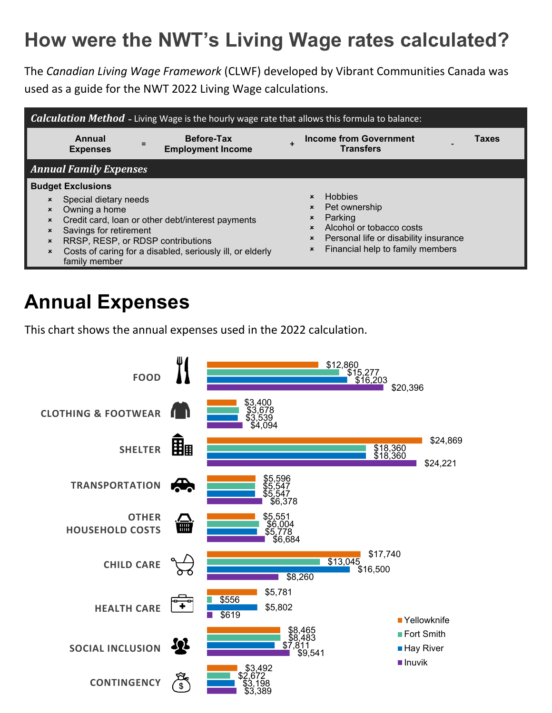## **How were the NWT's Living Wage rates calculated?**

The *Canadian Living Wage Framework* (CLWF) developed by Vibrant Communities Canada was used as a guide for the NWT 2022 Living Wage calculations.



### **Annual Expenses**

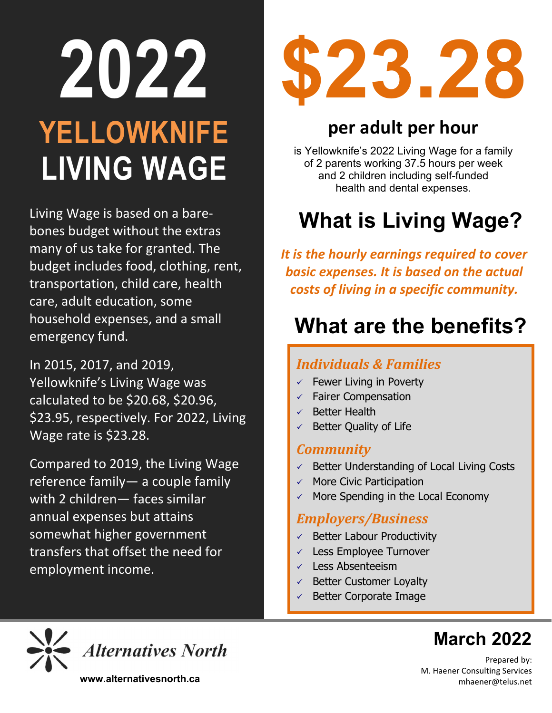# **2022 YELLOWKNIFE LIVING WAGE**

Living Wage is based on a barebones budget without the extras many of us take for granted. The budget includes food, clothing, rent, transportation, child care, health care, adult education, some household expenses, and a small emergency fund.

In 2015, 2017, and 2019, Yellowknife's Living Wage was calculated to be \$20.68, \$20.96, \$23.95, respectively. For 2022, Living Wage rate is \$23.28.

Compared to 2019, the Living Wage reference family— a couple family with 2 children— faces similar annual expenses but attains somewhat higher government transfers that offset the need for employment income.



## **per adult per hour**

is Yellowknife's 2022 Living Wage for a family of 2 parents working 37.5 hours per week and 2 children including self-funded health and dental expenses.

# **What is Living Wage?**

*It is the hourly earnings required to cover basic expenses. It is based on the actual costs of living in a specific community.*

## **What are the benefits?**

#### *Individuals & Families*

- $\checkmark$  Fewer Living in Poverty
- $\checkmark$  Fairer Compensation
- $\checkmark$  Better Health
- $\checkmark$  Better Quality of Life

#### *Community*

- $\checkmark$  Better Understanding of Local Living Costs
- $\times$  More Civic Participation
- More Spending in the Local Economy

#### *Employers/Business*

- $\checkmark$  Better Labour Productivity
- $\checkmark$  Less Employee Turnover
- $\checkmark$  Less Absenteeism
- Better Customer Loyalty
- Better Corporate Image



## **March 2022**

Prepared by: M. Haener Consulting Services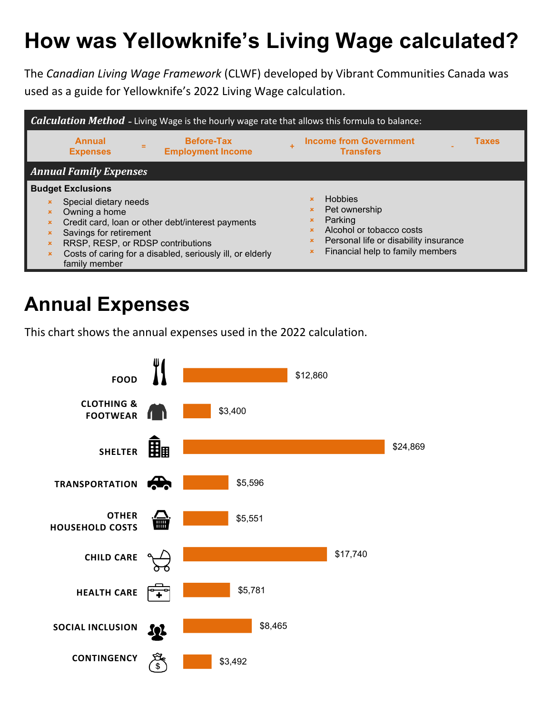# **How was Yellowknife's Living Wage calculated?**

The *Canadian Living Wage Framework* (CLWF) developed by Vibrant Communities Canada was used as a guide for Yellowknife's 2022 Living Wage calculation.



### **Annual Expenses**

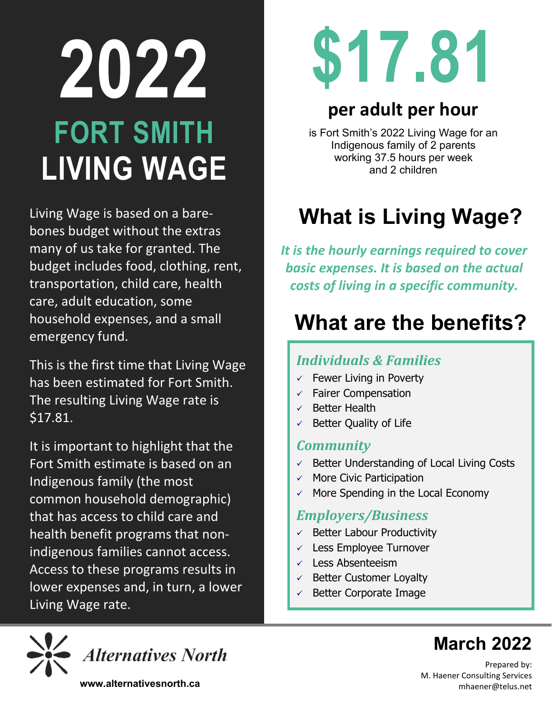# **2022 FORT SMITH LIVING WAGE**

Living Wage is based on a barebones budget without the extras many of us take for granted. The budget includes food, clothing, rent, transportation, child care, health care, adult education, some household expenses, and a small emergency fund.

This is the first time that Living Wage has been estimated for Fort Smith. The resulting Living Wage rate is \$17.81.

It is important to highlight that the Fort Smith estimate is based on an Indigenous family (the most common household demographic) that has access to child care and health benefit programs that nonindigenous families cannot access. Access to these programs results in lower expenses and, in turn, a lower Living Wage rate.



## **per adult per hour**

is Fort Smith's 2022 Living Wage for an Indigenous family of 2 parents working 37.5 hours per week and 2 children

# **What is Living Wage?**

*It is the hourly earnings required to cover basic expenses. It is based on the actual costs of living in a specific community.*

## **What are the benefits?**

#### *Individuals & Families*

- $\checkmark$  Fewer Living in Poverty
- $\checkmark$  Fairer Compensation
- $\checkmark$  Better Health
- $\checkmark$  Better Quality of Life

#### *Community*

- $\checkmark$  Better Understanding of Local Living Costs
- $\checkmark$  More Civic Participation
- $\checkmark$  More Spending in the Local Economy

#### *Employers/Business*

- $\checkmark$  Better Labour Productivity
- $\checkmark$  Less Employee Turnover
- $\checkmark$  Less Absenteeism
- $\checkmark$  Better Customer Loyalty
- $\checkmark$  Better Corporate Image



## **March 2022**

Prepared by: M. Haener Consulting Services **www.alternativesnorth.ca** mhaener@telus.net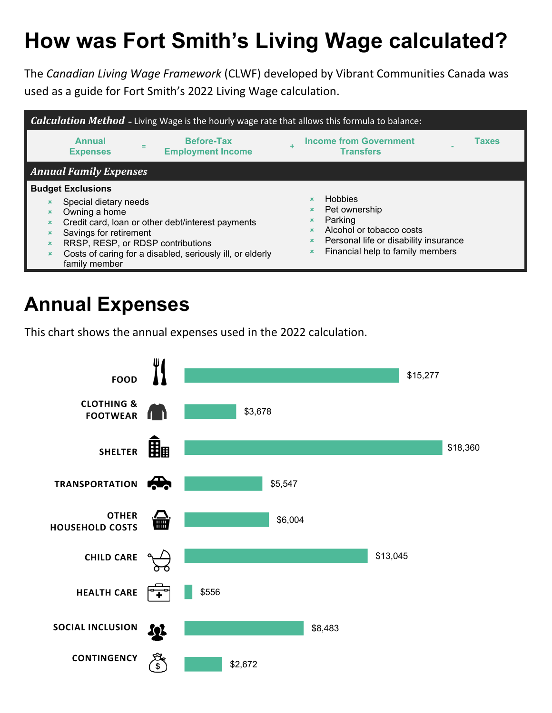# **How was Fort Smith's Living Wage calculated?**

The *Canadian Living Wage Framework* (CLWF) developed by Vibrant Communities Canada was used as a guide for Fort Smith's 2022 Living Wage calculation.



### **Annual Expenses**

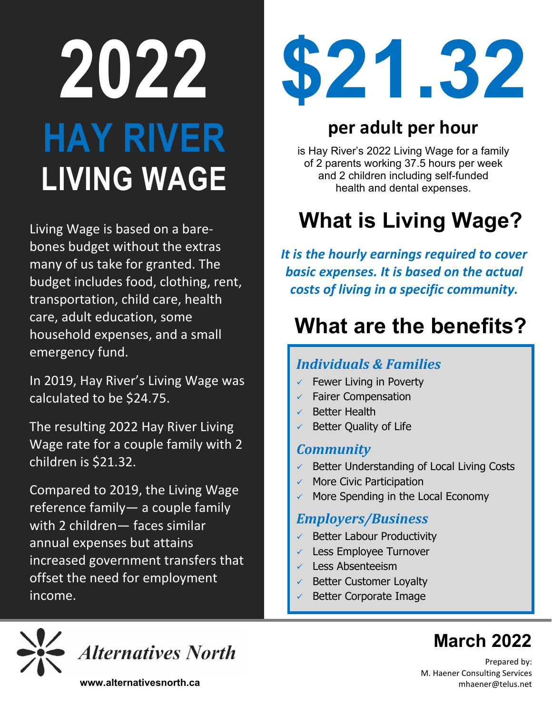# **2022 HAY RIVER LIVING WAGE**

Living Wage is based on a barebones budget without the extras many of us take for granted. The budget includes food, clothing, rent, transportation, child care, health care, adult education, some household expenses, and a small emergency fund.

In 2019, Hay River's Living Wage was calculated to be \$24.75.

The resulting 2022 Hay River Living Wage rate for a couple family with 2 children is \$21.32.

Compared to 2019, the Living Wage reference family— a couple family with 2 children— faces similar annual expenses but attains increased government transfers that offset the need for employment income.



## **per adult per hour**

is Hay River's 2022 Living Wage for a family of 2 parents working 37.5 hours per week and 2 children including self-funded health and dental expenses.

# **What is Living Wage?**

*It is the hourly earnings required to cover basic expenses. It is based on the actual costs of living in a specific community.*

# **What are the benefits?**

#### *Individuals & Families*

- $\checkmark$  Fewer Living in Poverty
- $\checkmark$  Fairer Compensation
- $\checkmark$  Better Health
- $\checkmark$  Better Quality of Life

#### *Community*

- $\checkmark$  Better Understanding of Local Living Costs
- $\checkmark$  More Civic Participation
- More Spending in the Local Economy

#### *Employers/Business*

- $\checkmark$  Better Labour Productivity
- $\checkmark$  Less Employee Turnover
- $\checkmark$  Less Absenteeism
- Better Customer Loyalty
- Better Corporate Image



**Alternatives North** 

**March 2022**

Prepared by: M. Haener Consulting Services

**www.alternativesnorth.ca** manufacture of the manufacture of the mhaener@telus.net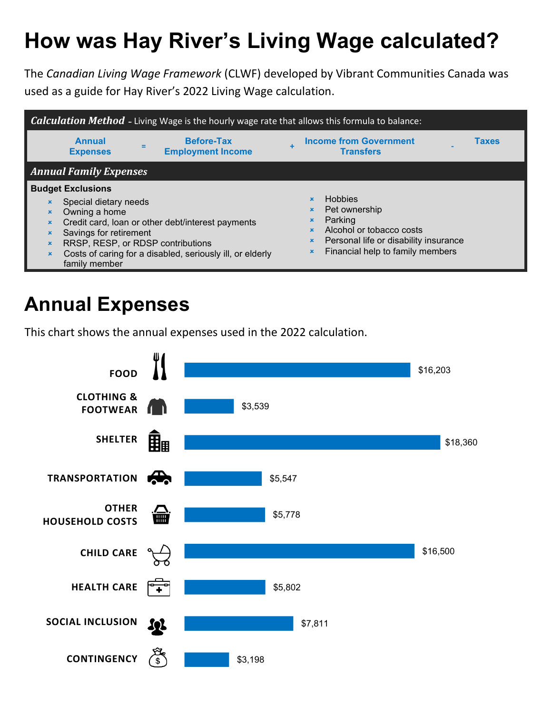# **How was Hay River's Living Wage calculated?**

The *Canadian Living Wage Framework* (CLWF) developed by Vibrant Communities Canada was used as a guide for Hay River's 2022 Living Wage calculation.



## **Annual Expenses**

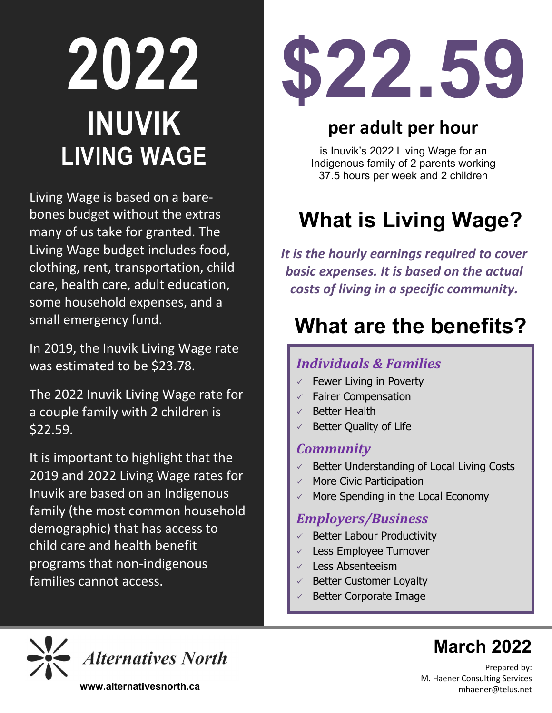# **2022 INUVIK LIVING WAGE**

Living Wage is based on a barebones budget without the extras many of us take for granted. The Living Wage budget includes food, clothing, rent, transportation, child care, health care, adult education, some household expenses, and a small emergency fund.

In 2019, the Inuvik Living Wage rate was estimated to be \$23.78.

The 2022 Inuvik Living Wage rate for a couple family with 2 children is \$22.59.

It is important to highlight that the 2019 and 2022 Living Wage rates for Inuvik are based on an Indigenous family (the most common household demographic) that has access to child care and health benefit programs that non-indigenous families cannot access.



## **per adult per hour**

is Inuvik's 2022 Living Wage for an Indigenous family of 2 parents working 37.5 hours per week and 2 children

# **What is Living Wage?**

*It is the hourly earnings required to cover basic expenses. It is based on the actual costs of living in a specific community.*

# **What are the benefits?**

#### *Individuals & Families*

- $\checkmark$  Fewer Living in Poverty
- $\checkmark$  Fairer Compensation
- $\checkmark$  Better Health
- $\checkmark$  Better Quality of Life

#### *Community*

- $\checkmark$  Better Understanding of Local Living Costs
- $\checkmark$  More Civic Participation
- More Spending in the Local Economy

#### *Employers/Business*

- $\checkmark$  Better Labour Productivity
- $\checkmark$  Less Employee Turnover
- $\checkmark$  Less Absenteeism
- Better Customer Loyalty
- Better Corporate Image



## **March 2022**

Prepared by: M. Haener Consulting Services **www.alternativesnorth.ca** match and the set of the match of the match of the mhaener  $\alpha$  telus.net